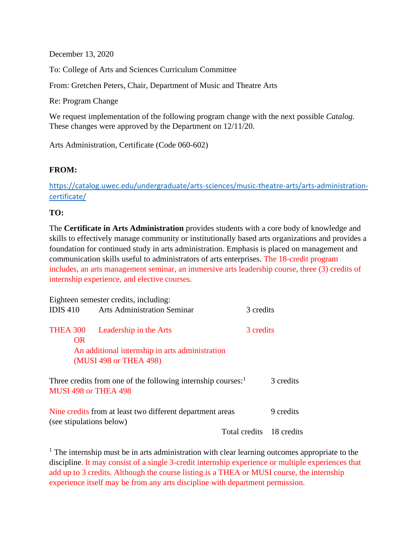December 13, 2020

To: College of Arts and Sciences Curriculum Committee

From: Gretchen Peters, Chair, Department of Music and Theatre Arts

Re: Program Change

We request implementation of the following program change with the next possible *Catalog.* These changes were approved by the Department on 12/11/20.

Arts Administration, Certificate (Code 060-602)

### **FROM:**

[https://catalog.uwec.edu/undergraduate/arts-sciences/music-theatre-arts/arts-administration](https://catalog.uwec.edu/undergraduate/arts-sciences/music-theatre-arts/arts-administration-certificate/)[certificate/](https://catalog.uwec.edu/undergraduate/arts-sciences/music-theatre-arts/arts-administration-certificate/)

### **TO:**

The **Certificate in Arts Administration** provides students with a core body of knowledge and skills to effectively manage community or institutionally based arts organizations and provides a foundation for continued study in arts administration. Emphasis is placed on management and communication skills useful to administrators of arts enterprises. The 18-credit program includes, an arts management seminar, an immersive arts leadership course, three (3) credits of internship experience, and elective courses.

|                                                                                                  | Eighteen semester credits, including:           |                          |           |  |
|--------------------------------------------------------------------------------------------------|-------------------------------------------------|--------------------------|-----------|--|
|                                                                                                  | <b>IDIS 410</b> Arts Administration Seminar     |                          | 3 credits |  |
| <b>THEA 300</b><br><b>OR</b>                                                                     | Leadership in the Arts                          |                          | 3 credits |  |
|                                                                                                  | An additional internship in arts administration |                          |           |  |
|                                                                                                  | (MUSI 498 or THEA 498)                          |                          |           |  |
| Three credits from one of the following internship courses: <sup>1</sup><br>MUSI 498 or THEA 498 |                                                 |                          | 3 credits |  |
| Nine credits from at least two different department areas<br>(see stipulations below)            |                                                 |                          | 9 credits |  |
|                                                                                                  |                                                 | Total credits 18 credits |           |  |

 $<sup>1</sup>$  The internship must be in arts administration with clear learning outcomes appropriate to the</sup> discipline. It may consist of a single 3-credit internship experience or multiple experiences that add up to 3 credits. Although the course listing is a THEA or MUSI course, the internship experience itself may be from any arts discipline with department permission.